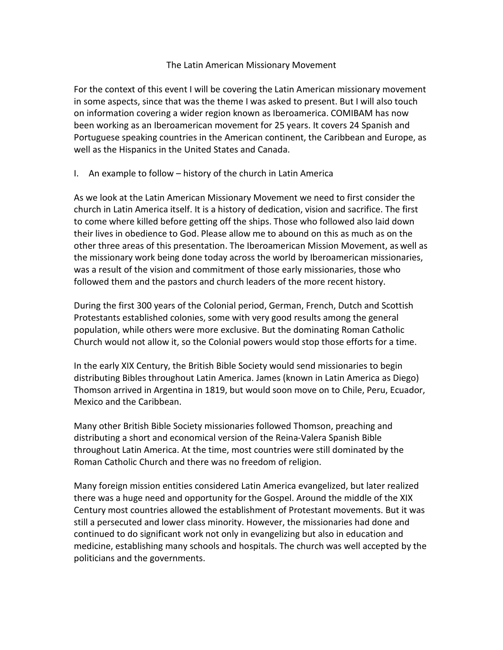# The Latin American Missionary Movement

For the context of this event I will be covering the Latin American missionary movement in some aspects, since that was the theme I was asked to present. But I will also touch on information covering a wider region known as Iberoamerica. COMIBAM has now been working as an Iberoamerican movement for 25 years. It covers 24 Spanish and Portuguese speaking countries in the American continent, the Caribbean and Europe, as well as the Hispanics in the United States and Canada.

I. An example to follow – history of the church in Latin America

As we look at the Latin American Missionary Movement we need to first consider the church in Latin America itself. It is a history of dedication, vision and sacrifice. The first to come where killed before getting off the ships. Those who followed also laid down their lives in obedience to God. Please allow me to abound on this as much as on the other three areas of this presentation. The Iberoamerican Mission Movement, as well as the missionary work being done today across the world by Iberoamerican missionaries, was a result of the vision and commitment of those early missionaries, those who followed them and the pastors and church leaders of the more recent history.

During the first 300 years of the Colonial period, German, French, Dutch and Scottish Protestants established colonies, some with very good results among the general population, while others were more exclusive. But the dominating Roman Catholic Church would not allow it, so the Colonial powers would stop those efforts for a time.

In the early XIX Century, the British Bible Society would send missionaries to begin distributing Bibles throughout Latin America. James (known in Latin America as Diego) Thomson arrived in Argentina in 1819, but would soon move on to Chile, Peru, Ecuador, Mexico and the Caribbean.

Many other British Bible Society missionaries followed Thomson, preaching and distributing a short and economical version of the Reina-Valera Spanish Bible throughout Latin America. At the time, most countries were still dominated by the Roman Catholic Church and there was no freedom of religion.

Many foreign mission entities considered Latin America evangelized, but later realized there was a huge need and opportunity for the Gospel. Around the middle of the XIX Century most countries allowed the establishment of Protestant movements. But it was still a persecuted and lower class minority. However, the missionaries had done and continued to do significant work not only in evangelizing but also in education and medicine, establishing many schools and hospitals. The church was well accepted by the politicians and the governments.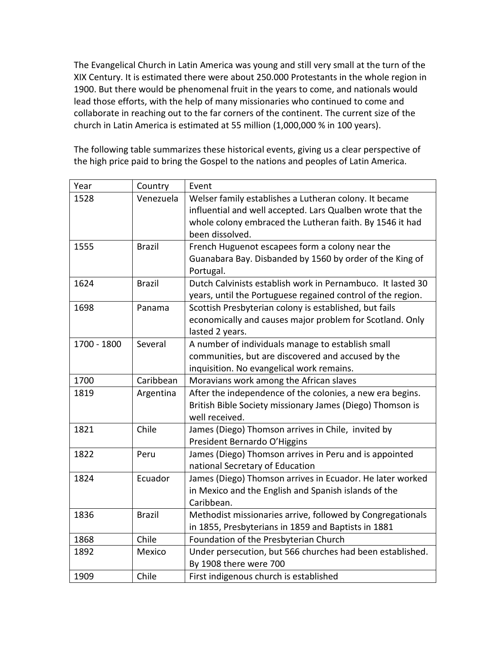The Evangelical Church in Latin America was young and still very small at the turn of the XIX Century. It is estimated there were about 250.000 Protestants in the whole region in 1900. But there would be phenomenal fruit in the years to come, and nationals would lead those efforts, with the help of many missionaries who continued to come and collaborate in reaching out to the far corners of the continent. The current size of the church in Latin America is estimated at 55 million (1,000,000 % in 100 years).

The following table summarizes these historical events, giving us a clear perspective of the high price paid to bring the Gospel to the nations and peoples of Latin America.

| Year        | Country       | Event                                                                                                                                                                                               |
|-------------|---------------|-----------------------------------------------------------------------------------------------------------------------------------------------------------------------------------------------------|
| 1528        | Venezuela     | Welser family establishes a Lutheran colony. It became<br>influential and well accepted. Lars Qualben wrote that the<br>whole colony embraced the Lutheran faith. By 1546 it had<br>been dissolved. |
| 1555        | <b>Brazil</b> | French Huguenot escapees form a colony near the<br>Guanabara Bay. Disbanded by 1560 by order of the King of<br>Portugal.                                                                            |
| 1624        | <b>Brazil</b> | Dutch Calvinists establish work in Pernambuco. It lasted 30<br>years, until the Portuguese regained control of the region.                                                                          |
| 1698        | Panama        | Scottish Presbyterian colony is established, but fails<br>economically and causes major problem for Scotland. Only<br>lasted 2 years.                                                               |
| 1700 - 1800 | Several       | A number of individuals manage to establish small<br>communities, but are discovered and accused by the<br>inquisition. No evangelical work remains.                                                |
| 1700        | Caribbean     | Moravians work among the African slaves                                                                                                                                                             |
| 1819        | Argentina     | After the independence of the colonies, a new era begins.<br>British Bible Society missionary James (Diego) Thomson is<br>well received.                                                            |
| 1821        | Chile         | James (Diego) Thomson arrives in Chile, invited by<br>President Bernardo O'Higgins                                                                                                                  |
| 1822        | Peru          | James (Diego) Thomson arrives in Peru and is appointed<br>national Secretary of Education                                                                                                           |
| 1824        | Ecuador       | James (Diego) Thomson arrives in Ecuador. He later worked<br>in Mexico and the English and Spanish islands of the<br>Caribbean.                                                                     |
| 1836        | <b>Brazil</b> | Methodist missionaries arrive, followed by Congregationals<br>in 1855, Presbyterians in 1859 and Baptists in 1881                                                                                   |
| 1868        | Chile         | Foundation of the Presbyterian Church                                                                                                                                                               |
| 1892        | Mexico        | Under persecution, but 566 churches had been established.<br>By 1908 there were 700                                                                                                                 |
| 1909        | Chile         | First indigenous church is established                                                                                                                                                              |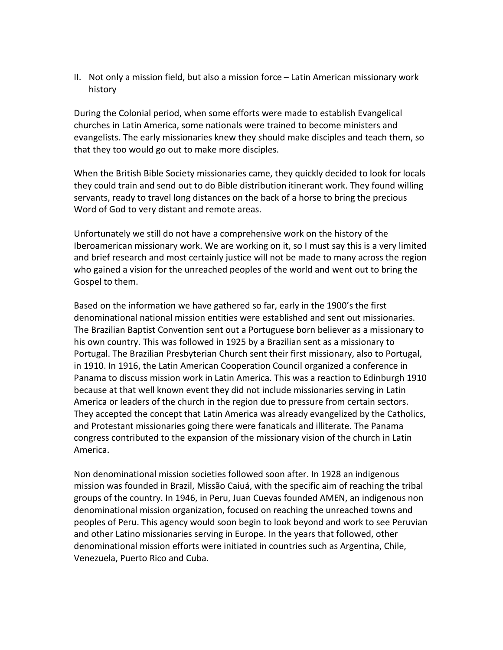II. Not only a mission field, but also a mission force – Latin American missionary work history

During the Colonial period, when some efforts were made to establish Evangelical churches in Latin America, some nationals were trained to become ministers and evangelists. The early missionaries knew they should make disciples and teach them, so that they too would go out to make more disciples.

When the British Bible Society missionaries came, they quickly decided to look for locals they could train and send out to do Bible distribution itinerant work. They found willing servants, ready to travel long distances on the back of a horse to bring the precious Word of God to very distant and remote areas.

Unfortunately we still do not have a comprehensive work on the history of the Iberoamerican missionary work. We are working on it, so I must say this is a very limited and brief research and most certainly justice will not be made to many across the region who gained a vision for the unreached peoples of the world and went out to bring the Gospel to them.

Based on the information we have gathered so far, early in the 1900's the first denominational national mission entities were established and sent out missionaries. The Brazilian Baptist Convention sent out a Portuguese born believer as a missionary to his own country. This was followed in 1925 by a Brazilian sent as a missionary to Portugal. The Brazilian Presbyterian Church sent their first missionary, also to Portugal, in 1910. In 1916, the Latin American Cooperation Council organized a conference in Panama to discuss mission work in Latin America. This was a reaction to Edinburgh 1910 because at that well known event they did not include missionaries serving in Latin America or leaders of the church in the region due to pressure from certain sectors. They accepted the concept that Latin America was already evangelized by the Catholics, and Protestant missionaries going there were fanaticals and illiterate. The Panama congress contributed to the expansion of the missionary vision of the church in Latin America.

Non denominational mission societies followed soon after. In 1928 an indigenous mission was founded in Brazil, Missão Caiuá, with the specific aim of reaching the tribal groups of the country. In 1946, in Peru, Juan Cuevas founded AMEN, an indigenous non denominational mission organization, focused on reaching the unreached towns and peoples of Peru. This agency would soon begin to look beyond and work to see Peruvian and other Latino missionaries serving in Europe. In the years that followed, other denominational mission efforts were initiated in countries such as Argentina, Chile, Venezuela, Puerto Rico and Cuba.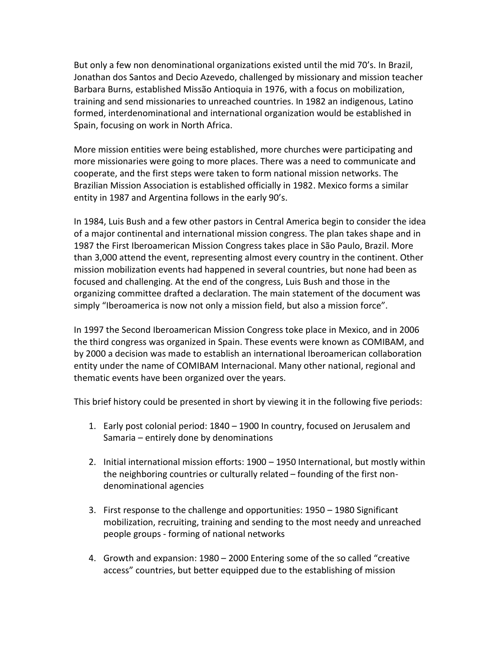But only a few non denominational organizations existed until the mid 70's. In Brazil, Jonathan dos Santos and Decio Azevedo, challenged by missionary and mission teacher Barbara Burns, established Missão Antioquia in 1976, with a focus on mobilization, training and send missionaries to unreached countries. In 1982 an indigenous, Latino formed, interdenominational and international organization would be established in Spain, focusing on work in North Africa.

More mission entities were being established, more churches were participating and more missionaries were going to more places. There was a need to communicate and cooperate, and the first steps were taken to form national mission networks. The Brazilian Mission Association is established officially in 1982. Mexico forms a similar entity in 1987 and Argentina follows in the early 90's.

In 1984, Luis Bush and a few other pastors in Central America begin to consider the idea of a major continental and international mission congress. The plan takes shape and in 1987 the First Iberoamerican Mission Congress takes place in São Paulo, Brazil. More than 3,000 attend the event, representing almost every country in the continent. Other mission mobilization events had happened in several countries, but none had been as focused and challenging. At the end of the congress, Luis Bush and those in the organizing committee drafted a declaration. The main statement of the document was simply "Iberoamerica is now not only a mission field, but also a mission force".

In 1997 the Second Iberoamerican Mission Congress toke place in Mexico, and in 2006 the third congress was organized in Spain. These events were known as COMIBAM, and by 2000 a decision was made to establish an international Iberoamerican collaboration entity under the name of COMIBAM Internacional. Many other national, regional and thematic events have been organized over the years.

This brief history could be presented in short by viewing it in the following five periods:

- 1. Early post colonial period: 1840 1900 In country, focused on Jerusalem and Samaria – entirely done by denominations
- 2. Initial international mission efforts: 1900 1950 International, but mostly within the neighboring countries or culturally related – founding of the first nondenominational agencies
- 3. First response to the challenge and opportunities: 1950 1980 Significant mobilization, recruiting, training and sending to the most needy and unreached people groups - forming of national networks
- 4. Growth and expansion: 1980 2000 Entering some of the so called "creative access" countries, but better equipped due to the establishing of mission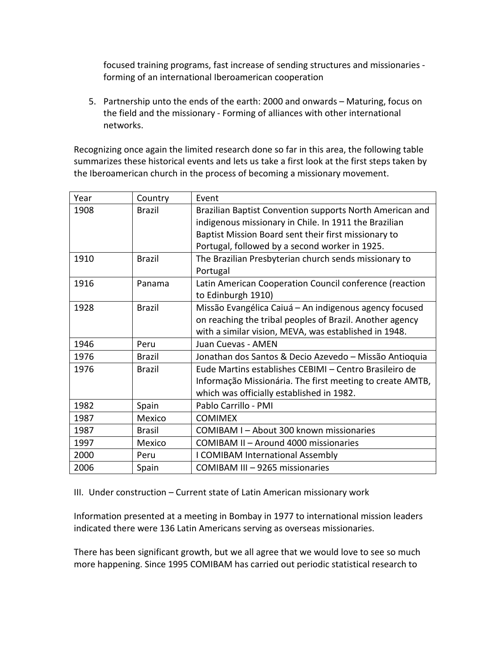focused training programs, fast increase of sending structures and missionaries forming of an international Iberoamerican cooperation

5. Partnership unto the ends of the earth: 2000 and onwards – Maturing, focus on the field and the missionary - Forming of alliances with other international networks.

Recognizing once again the limited research done so far in this area, the following table summarizes these historical events and lets us take a first look at the first steps taken by the Iberoamerican church in the process of becoming a missionary movement.

| Year | Country       | Event                                                     |
|------|---------------|-----------------------------------------------------------|
| 1908 | <b>Brazil</b> | Brazilian Baptist Convention supports North American and  |
|      |               | indigenous missionary in Chile. In 1911 the Brazilian     |
|      |               | Baptist Mission Board sent their first missionary to      |
|      |               | Portugal, followed by a second worker in 1925.            |
| 1910 | <b>Brazil</b> | The Brazilian Presbyterian church sends missionary to     |
|      |               | Portugal                                                  |
| 1916 | Panama        | Latin American Cooperation Council conference (reaction   |
|      |               | to Edinburgh 1910)                                        |
| 1928 | <b>Brazil</b> | Missão Evangélica Caiuá - An indigenous agency focused    |
|      |               | on reaching the tribal peoples of Brazil. Another agency  |
|      |               | with a similar vision, MEVA, was established in 1948.     |
| 1946 | Peru          | Juan Cuevas - AMEN                                        |
| 1976 | <b>Brazil</b> | Jonathan dos Santos & Decio Azevedo - Missão Antioquia    |
| 1976 | <b>Brazil</b> | Eude Martins establishes CEBIMI – Centro Brasileiro de    |
|      |               | Informação Missionária. The first meeting to create AMTB, |
|      |               | which was officially established in 1982.                 |
| 1982 | Spain         | Pablo Carrillo - PMI                                      |
| 1987 | Mexico        | <b>COMIMEX</b>                                            |
| 1987 | <b>Brasil</b> | COMIBAM I - About 300 known missionaries                  |
| 1997 | Mexico        | COMIBAM II - Around 4000 missionaries                     |
| 2000 | Peru          | <b>I COMIBAM International Assembly</b>                   |
| 2006 | Spain         | COMIBAM III - 9265 missionaries                           |

III. Under construction – Current state of Latin American missionary work

Information presented at a meeting in Bombay in 1977 to international mission leaders indicated there were 136 Latin Americans serving as overseas missionaries.

There has been significant growth, but we all agree that we would love to see so much more happening. Since 1995 COMIBAM has carried out periodic statistical research to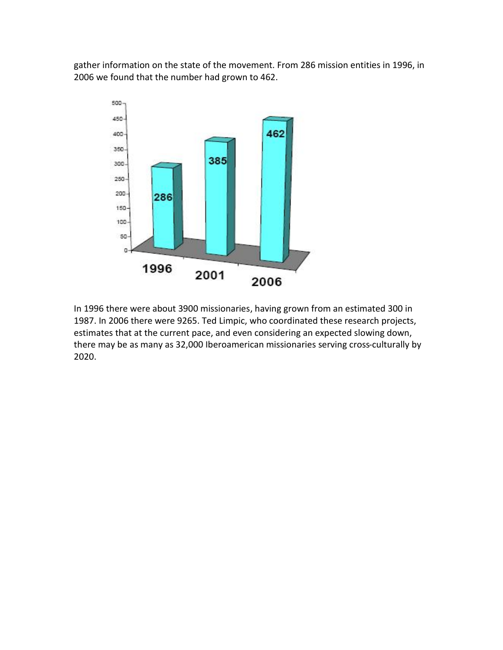gather information on the state of the movement. From 286 mission entities in 1996, in 2006 we found that the number had grown to 462.



In 1996 there were about 3900 missionaries, having grown from an estimated 300 in 1987. In 2006 there were 9265. Ted Limpic, who coordinated these research projects, estimates that at the current pace, and even considering an expected slowing down, there may be as many as 32,000 Iberoamerican missionaries serving cross-culturally by 2020.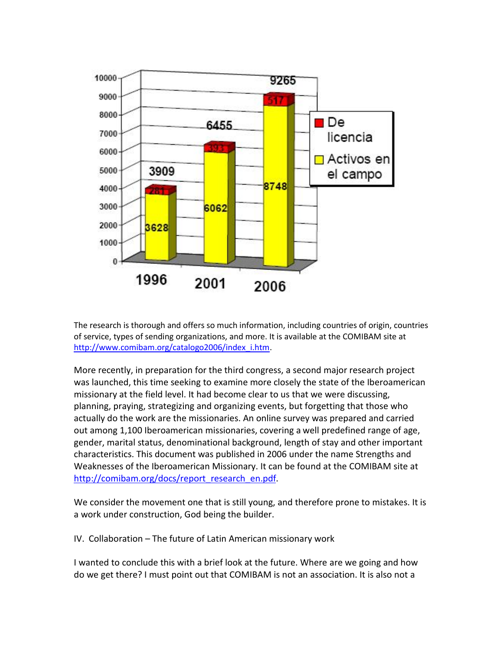

The research is thorough and offers so much information, including countries of origin, countries of service, types of sending organizations, and more. It is available at the COMIBAM site at [http://www.comibam.org/catalogo2006/index\\_i.htm](http://www.comibam.org/catalogo2006/index_i.htm).

More recently, in preparation for the third congress, a second major research project was launched, this time seeking to examine more closely the state of the Iberoamerican missionary at the field level. It had become clear to us that we were discussing, planning, praying, strategizing and organizing events, but forgetting that those who actually do the work are the missionaries. An online survey was prepared and carried out among 1,100 Iberoamerican missionaries, covering a well predefined range of age, gender, marital status, denominational background, length of stay and other important characteristics. This document was published in 2006 under the name Strengths and Weaknesses of the Iberoamerican Missionary. It can be found at the COMIBAM site at [http://comibam.org/docs/report\\_research\\_en.pdf](http://comibam.org/docs/report_research_en.pdf).

We consider the movement one that is still young, and therefore prone to mistakes. It is a work under construction, God being the builder.

IV. Collaboration – The future of Latin American missionary work

I wanted to conclude this with a brief look at the future. Where are we going and how do we get there? I must point out that COMIBAM is not an association. It is also not a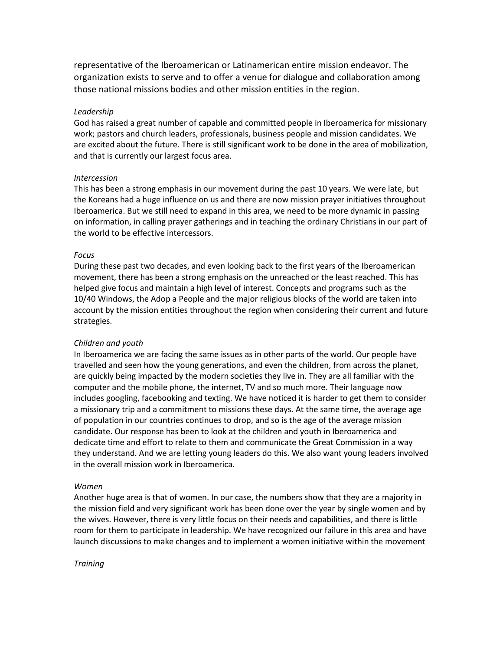representative of the Iberoamerican or Latinamerican entire mission endeavor. The organization exists to serve and to offer a venue for dialogue and collaboration among those national missions bodies and other mission entities in the region.

# *Leadership*

God has raised a great number of capable and committed people in Iberoamerica for missionary work; pastors and church leaders, professionals, business people and mission candidates. We are excited about the future. There is still significant work to be done in the area of mobilization, and that is currently our largest focus area.

# *Intercession*

This has been a strong emphasis in our movement during the past 10 years. We were late, but the Koreans had a huge influence on us and there are now mission prayer initiatives throughout Iberoamerica. But we still need to expand in this area, we need to be more dynamic in passing on information, in calling prayer gatherings and in teaching the ordinary Christians in our part of the world to be effective intercessors.

# *Focus*

During these past two decades, and even looking back to the first years of the Iberoamerican movement, there has been a strong emphasis on the unreached or the least reached. This has helped give focus and maintain a high level of interest. Concepts and programs such as the 10/40 Windows, the Adop a People and the major religious blocks of the world are taken into account by the mission entities throughout the region when considering their current and future strategies.

#### *Children and youth*

In Iberoamerica we are facing the same issues as in other parts of the world. Our people have travelled and seen how the young generations, and even the children, from across the planet, are quickly being impacted by the modern societies they live in. They are all familiar with the computer and the mobile phone, the internet, TV and so much more. Their language now includes googling, facebooking and texting. We have noticed it is harder to get them to consider a missionary trip and a commitment to missions these days. At the same time, the average age of population in our countries continues to drop, and so is the age of the average mission candidate. Our response has been to look at the children and youth in Iberoamerica and dedicate time and effort to relate to them and communicate the Great Commission in a way they understand. And we are letting young leaders do this. We also want young leaders involved in the overall mission work in Iberoamerica.

#### *Women*

Another huge area is that of women. In our case, the numbers show that they are a majority in the mission field and very significant work has been done over the year by single women and by the wives. However, there is very little focus on their needs and capabilities, and there is little room for them to participate in leadership. We have recognized our failure in this area and have launch discussions to make changes and to implement a women initiative within the movement

#### *Training*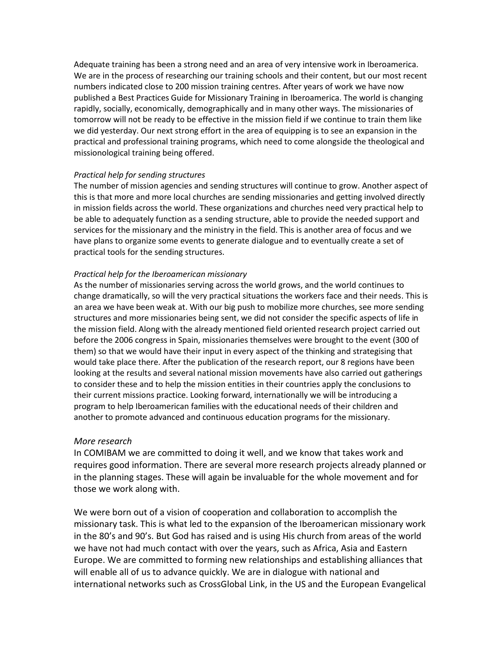Adequate training has been a strong need and an area of very intensive work in Iberoamerica. We are in the process of researching our training schools and their content, but our most recent numbers indicated close to 200 mission training centres. After years of work we have now published a Best Practices Guide for Missionary Training in Iberoamerica. The world is changing rapidly, socially, economically, demographically and in many other ways. The missionaries of tomorrow will not be ready to be effective in the mission field if we continue to train them like we did yesterday. Our next strong effort in the area of equipping is to see an expansion in the practical and professional training programs, which need to come alongside the theological and missionological training being offered.

# *Practical help for sending structures*

The number of mission agencies and sending structures will continue to grow. Another aspect of this is that more and more local churches are sending missionaries and getting involved directly in mission fields across the world. These organizations and churches need very practical help to be able to adequately function as a sending structure, able to provide the needed support and services for the missionary and the ministry in the field. This is another area of focus and we have plans to organize some events to generate dialogue and to eventually create a set of practical tools for the sending structures.

# *Practical help for the Iberoamerican missionary*

As the number of missionaries serving across the world grows, and the world continues to change dramatically, so will the very practical situations the workers face and their needs. This is an area we have been weak at. With our big push to mobilize more churches, see more sending structures and more missionaries being sent, we did not consider the specific aspects of life in the mission field. Along with the already mentioned field oriented research project carried out before the 2006 congress in Spain, missionaries themselves were brought to the event (300 of them) so that we would have their input in every aspect of the thinking and strategising that would take place there. After the publication of the research report, our 8 regions have been looking at the results and several national mission movements have also carried out gatherings to consider these and to help the mission entities in their countries apply the conclusions to their current missions practice. Looking forward, internationally we will be introducing a program to help Iberoamerican families with the educational needs of their children and another to promote advanced and continuous education programs for the missionary.

# *More research*

In COMIBAM we are committed to doing it well, and we know that takes work and requires good information. There are several more research projects already planned or in the planning stages. These will again be invaluable for the whole movement and for those we work along with.

We were born out of a vision of cooperation and collaboration to accomplish the missionary task. This is what led to the expansion of the Iberoamerican missionary work in the 80's and 90's. But God has raised and is using His church from areas of the world we have not had much contact with over the years, such as Africa, Asia and Eastern Europe. We are committed to forming new relationships and establishing alliances that will enable all of us to advance quickly. We are in dialogue with national and international networks such as CrossGlobal Link, in the US and the European Evangelical